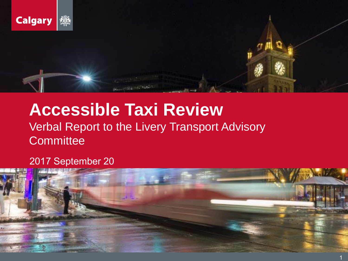

### **Accessible Taxi Review** Verbal Report to the Livery Transport Advisory **Committee**

**INSURANCES** 

### 2017 September 20

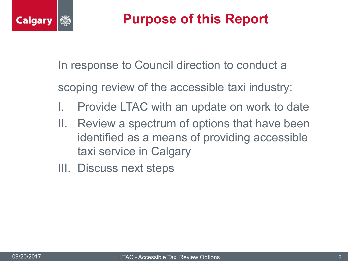

### **Purpose of this Report**

In response to Council direction to conduct a

scoping review of the accessible taxi industry:

- Provide LTAC with an update on work to date
- II. Review a spectrum of options that have been identified as a means of providing accessible taxi service in Calgary
- III. Discuss next steps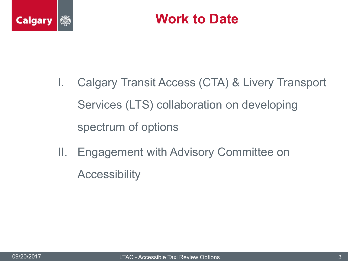

- I. Calgary Transit Access (CTA) & Livery Transport Services (LTS) collaboration on developing spectrum of options
- II. Engagement with Advisory Committee on **Accessibility**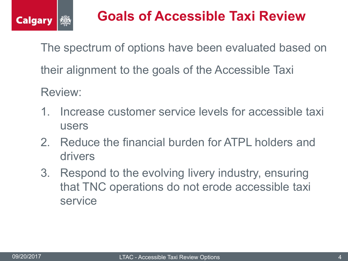

## **Goals of Accessible Taxi Review**

The spectrum of options have been evaluated based on their alignment to the goals of the Accessible Taxi Review:

- 1. Increase customer service levels for accessible taxi users
- 2. Reduce the financial burden for ATPL holders and drivers
- 3. Respond to the evolving livery industry, ensuring that TNC operations do not erode accessible taxi service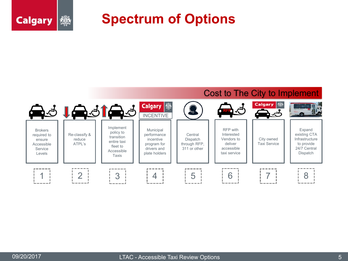### **Spectrum of Options**

#### Cost to The City to Implement



變

**Calgary**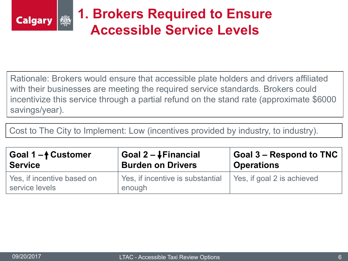

## **1. Brokers Required to Ensure Accessible Service Levels**

Rationale: Brokers would ensure that accessible plate holders and drivers affiliated with their businesses are meeting the required service standards. Brokers could incentivize this service through a partial refund on the stand rate (approximate \$6000 savings/year).

Cost to The City to Implement: Low (incentives provided by industry, to industry).

| Goal 1- <sup>1</sup> Customer                | Goal $2 - \sqrt{3}$ Financial              | <b>Goal 3 – Respond to TNC</b> |
|----------------------------------------------|--------------------------------------------|--------------------------------|
| <b>Service</b>                               | <b>Burden on Drivers</b>                   | <b>Operations</b>              |
| Yes, if incentive based on<br>service levels | Yes, if incentive is substantial<br>enough | Yes, if goal 2 is achieved     |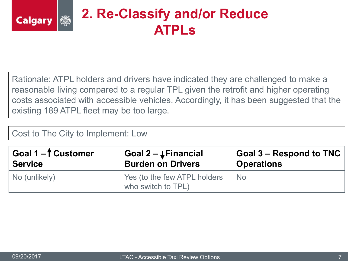### **2. Re-Classify and/or Reduce ATPLs**

Rationale: ATPL holders and drivers have indicated they are challenged to make a reasonable living compared to a regular TPL given the retrofit and higher operating costs associated with accessible vehicles. Accordingly, it has been suggested that the existing 189 ATPL fleet may be too large.

Cost to The City to Implement: Low

| Goal 1- <sup>†</sup> Customer | Goal $2 - \downarrow$ Financial                    | Goal 3 – Respond to TNC |
|-------------------------------|----------------------------------------------------|-------------------------|
| Service                       | <b>Burden on Drivers</b>                           | <b>Operations</b>       |
| No (unlikely)                 | Yes (to the few ATPL holders<br>who switch to TPL) | <b>No</b>               |

**Calgary** 

ĵĝ.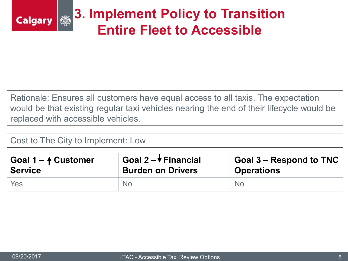

Rationale: Ensures all customers have equal access to all taxis. The expectation would be that existing regular taxi vehicles nearing the end of their lifecycle would be replaced with accessible vehicles.

### Cost to The City to Implement: Low

| Goal $1 - 4$ Customer | Goal 2 $-\sqrt{}$ Financial | $\mid$ Goal 3 – Respond to TNC $\mid$ |
|-----------------------|-----------------------------|---------------------------------------|
| <b>Service</b>        | <b>Burden on Drivers</b>    | <b>Operations</b>                     |
| Yes                   | No.                         | <b>No</b>                             |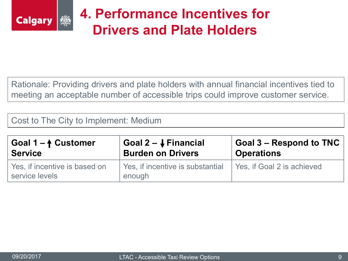

### **4. Performance Incentives for Drivers and Plate Holders**

Rationale: Providing drivers and plate holders with annual financial incentives tied to meeting an acceptable number of accessible trips could improve customer service.

Cost to The City to Implement: Medium

| Goal $1 - 4$ Customer                           | Goal 2 – ↓ Financial                       | $\mid$ Goal 3 – Respond to TNC $\mid$ |
|-------------------------------------------------|--------------------------------------------|---------------------------------------|
| <b>Service</b>                                  | <b>Burden on Drivers</b>                   | <b>Operations</b>                     |
| Yes, if incentive is based on<br>service levels | Yes, if incentive is substantial<br>enough | Yes, if Goal 2 is achieved            |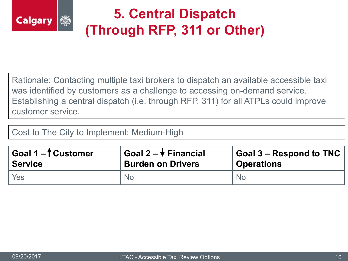

# **5. Central Dispatch (Through RFP, 311 or Other)**

Rationale: Contacting multiple taxi brokers to dispatch an available accessible taxi was identified by customers as a challenge to accessing on-demand service. Establishing a central dispatch (i.e. through RFP, 311) for all ATPLs could improve customer service.

Cost to The City to Implement: Medium-High

| Goal $1 - \hat{t}$ Customer | Goal $2 - \sqrt{ }$ Financial | Goal 3 – Respond to TNC |
|-----------------------------|-------------------------------|-------------------------|
| <b>Service</b>              | <b>Burden on Drivers</b>      | <b>Operations</b>       |
| Yes                         | N <sub>o</sub>                | N <sub>o</sub>          |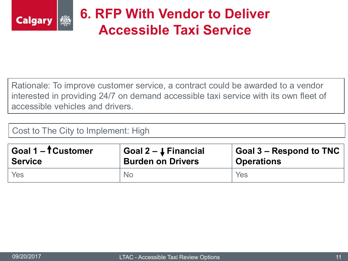

## **6. RFP With Vendor to Deliver Accessible Taxi Service**

Rationale: To improve customer service, a contract could be awarded to a vendor interested in providing 24/7 on demand accessible taxi service with its own fleet of accessible vehicles and drivers.

Cost to The City to Implement: High

| Goal 1 – f Customer | Goal $2 - 1$ Financial   | Goal 3 - Respond to TNC |
|---------------------|--------------------------|-------------------------|
| <b>Service</b>      | <b>Burden on Drivers</b> | <b>Operations</b>       |
| Yes                 | No.                      | Yes                     |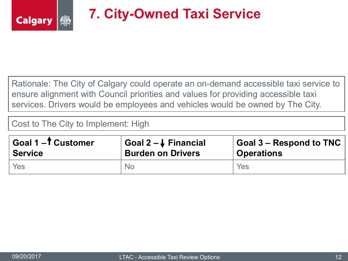

## **7. City-Owned Taxi Service**

Rationale: The City of Calgary could operate an on-demand accessible taxi service to ensure alignment with Council priorities and values for providing accessible taxi services. Drivers would be employees and vehicles would be owned by The City.

Cost to The City to Implement: High

| Goal 1-1 Customer | Goal $2-\sqrt{ }$ Financial | <b>Goal 3 – Respond to TNC</b> |
|-------------------|-----------------------------|--------------------------------|
| <b>Service</b>    | <b>Burden on Drivers</b>    | <b>Operations</b>              |
| Yes               | <b>No</b>                   | Yes                            |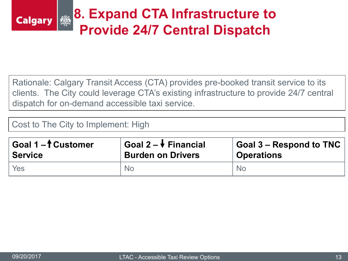#### **8. Expand CTA Infrastructure to** łŠ, **Calgary Provide 24/7 Central Dispatch**

Rationale: Calgary Transit Access (CTA) provides pre-booked transit service to its clients. The City could leverage CTA's existing infrastructure to provide 24/7 central dispatch for on-demand accessible taxi service.

Cost to The City to Implement: High

| Goal 1-1 Customer | Goal $2 - \sqrt{ }$ Financial | <b>Goal 3 – Respond to TNC</b> |
|-------------------|-------------------------------|--------------------------------|
| <b>Service</b>    | <b>Burden on Drivers</b>      | <b>Operations</b>              |
| Yes               | No.                           | No.                            |